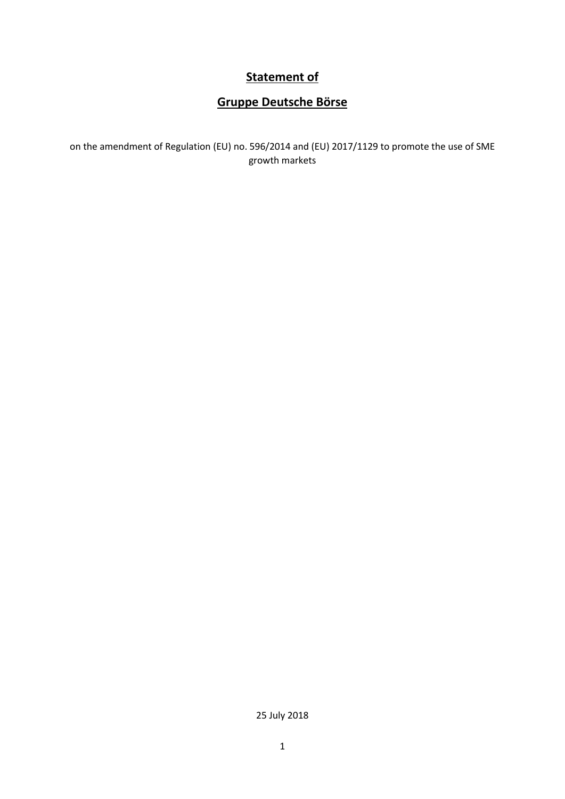## **Statement of**

# **Gruppe Deutsche Börse**

on the amendment of Regulation (EU) no. 596/2014 and (EU) 2017/1129 to promote the use of SME growth markets

25 July 2018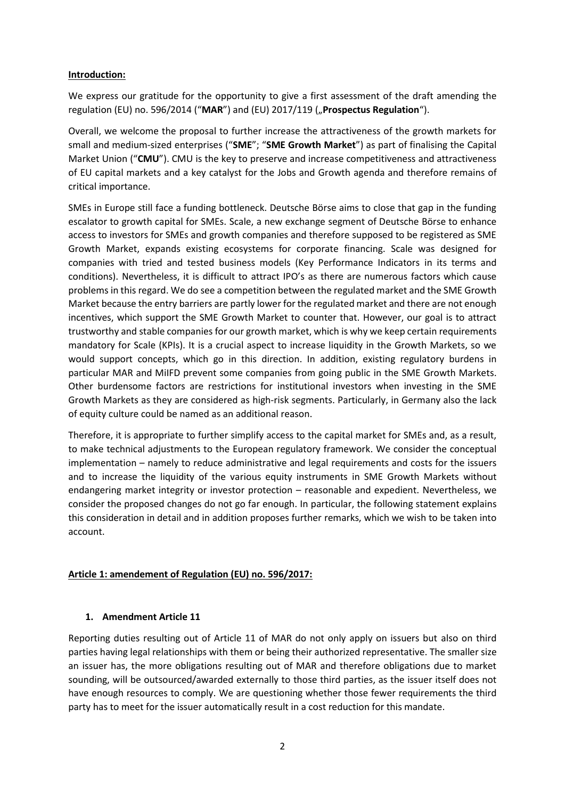#### **Introduction:**

We express our gratitude for the opportunity to give a first assessment of the draft amending the regulation (EU) no. 596/2014 ("**MAR**") and (EU) 2017/119 ("**Prospectus Regulation**").

Overall, we welcome the proposal to further increase the attractiveness of the growth markets for small and medium-sized enterprises ("**SME**"; "**SME Growth Market**") as part of finalising the Capital Market Union ("**CMU**"). CMU is the key to preserve and increase competitiveness and attractiveness of EU capital markets and a key catalyst for the Jobs and Growth agenda and therefore remains of critical importance.

SMEs in Europe still face a funding bottleneck. Deutsche Börse aims to close that gap in the funding escalator to growth capital for SMEs. Scale, a new exchange segment of Deutsche Börse to enhance access to investors for SMEs and growth companies and therefore supposed to be registered as SME Growth Market, expands existing ecosystems for corporate financing. Scale was designed for companies with tried and tested business models (Key Performance Indicators in its terms and conditions). Nevertheless, it is difficult to attract IPO's as there are numerous factors which cause problems in this regard. We do see a competition between the regulated market and the SME Growth Market because the entry barriers are partly lower for the regulated market and there are not enough incentives, which support the SME Growth Market to counter that. However, our goal is to attract trustworthy and stable companies for our growth market, which is why we keep certain requirements mandatory for Scale (KPIs). It is a crucial aspect to increase liquidity in the Growth Markets, so we would support concepts, which go in this direction. In addition, existing regulatory burdens in particular MAR and MiIFD prevent some companies from going public in the SME Growth Markets. Other burdensome factors are restrictions for institutional investors when investing in the SME Growth Markets as they are considered as high-risk segments. Particularly, in Germany also the lack of equity culture could be named as an additional reason.

Therefore, it is appropriate to further simplify access to the capital market for SMEs and, as a result, to make technical adjustments to the European regulatory framework. We consider the conceptual implementation – namely to reduce administrative and legal requirements and costs for the issuers and to increase the liquidity of the various equity instruments in SME Growth Markets without endangering market integrity or investor protection – reasonable and expedient. Nevertheless, we consider the proposed changes do not go far enough. In particular, the following statement explains this consideration in detail and in addition proposes further remarks, which we wish to be taken into account.

## **Article 1: amendement of Regulation (EU) no. 596/2017:**

## **1. Amendment Article 11**

Reporting duties resulting out of Article 11 of MAR do not only apply on issuers but also on third parties having legal relationships with them or being their authorized representative. The smaller size an issuer has, the more obligations resulting out of MAR and therefore obligations due to market sounding, will be outsourced/awarded externally to those third parties, as the issuer itself does not have enough resources to comply. We are questioning whether those fewer requirements the third party has to meet for the issuer automatically result in a cost reduction for this mandate.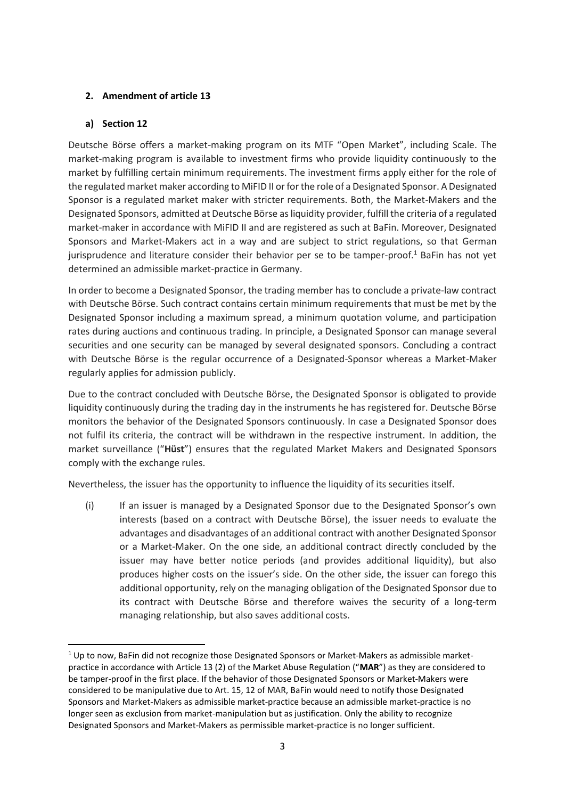## **2. Amendment of article 13**

## **a) Section 12**

Deutsche Börse offers a market-making program on its MTF "Open Market", including Scale. The market-making program is available to investment firms who provide liquidity continuously to the market by fulfilling certain minimum requirements. The investment firms apply either for the role of the regulated market maker according to MiFID II or for the role of a Designated Sponsor. A Designated Sponsor is a regulated market maker with stricter requirements. Both, the Market-Makers and the Designated Sponsors, admitted at Deutsche Börse as liquidity provider, fulfill the criteria of a regulated market-maker in accordance with MiFID II and are registered as such at BaFin. Moreover, Designated Sponsors and Market-Makers act in a way and are subject to strict regulations, so that German jurisprudence and literature consider their behavior per se to be tamper-proof.<sup>1</sup> BaFin has not yet determined an admissible market-practice in Germany.

In order to become a Designated Sponsor, the trading member has to conclude a private-law contract with Deutsche Börse. Such contract contains certain minimum requirements that must be met by the Designated Sponsor including a maximum spread, a minimum quotation volume, and participation rates during auctions and continuous trading. In principle, a Designated Sponsor can manage several securities and one security can be managed by several designated sponsors. Concluding a contract with Deutsche Börse is the regular occurrence of a Designated-Sponsor whereas a Market-Maker regularly applies for admission publicly.

Due to the contract concluded with Deutsche Börse, the Designated Sponsor is obligated to provide liquidity continuously during the trading day in the instruments he has registered for. Deutsche Börse monitors the behavior of the Designated Sponsors continuously. In case a Designated Sponsor does not fulfil its criteria, the contract will be withdrawn in the respective instrument. In addition, the market surveillance ("**Hüst**") ensures that the regulated Market Makers and Designated Sponsors comply with the exchange rules.

Nevertheless, the issuer has the opportunity to influence the liquidity of its securities itself.

(i) If an issuer is managed by a Designated Sponsor due to the Designated Sponsor's own interests (based on a contract with Deutsche Börse), the issuer needs to evaluate the advantages and disadvantages of an additional contract with another Designated Sponsor or a Market-Maker. On the one side, an additional contract directly concluded by the issuer may have better notice periods (and provides additional liquidity), but also produces higher costs on the issuer's side. On the other side, the issuer can forego this additional opportunity, rely on the managing obligation of the Designated Sponsor due to its contract with Deutsche Börse and therefore waives the security of a long-term managing relationship, but also saves additional costs.

 $1$  Up to now, BaFin did not recognize those Designated Sponsors or Market-Makers as admissible marketpractice in accordance with Article 13 (2) of the Market Abuse Regulation ("**MAR**") as they are considered to be tamper-proof in the first place. If the behavior of those Designated Sponsors or Market-Makers were considered to be manipulative due to Art. 15, 12 of MAR, BaFin would need to notify those Designated Sponsors and Market-Makers as admissible market-practice because an admissible market-practice is no longer seen as exclusion from market-manipulation but as justification. Only the ability to recognize Designated Sponsors and Market-Makers as permissible market-practice is no longer sufficient.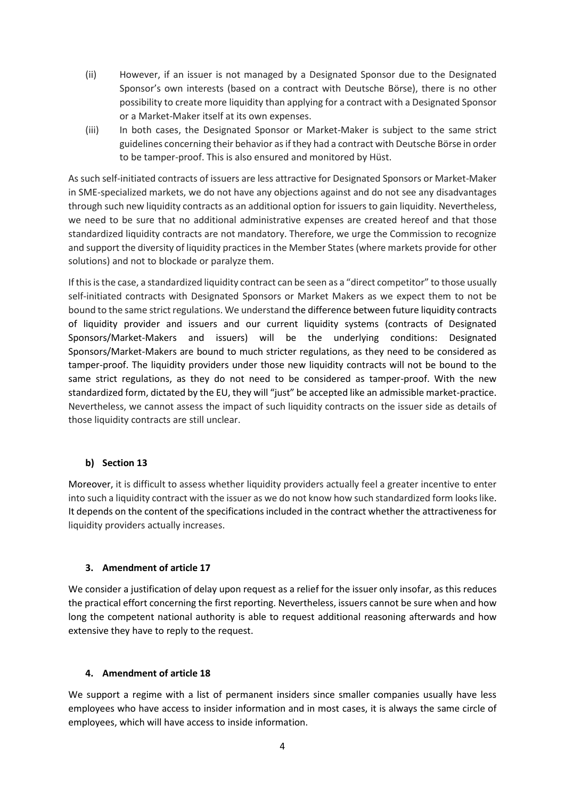- (ii) However, if an issuer is not managed by a Designated Sponsor due to the Designated Sponsor's own interests (based on a contract with Deutsche Börse), there is no other possibility to create more liquidity than applying for a contract with a Designated Sponsor or a Market-Maker itself at its own expenses.
- (iii) In both cases, the Designated Sponsor or Market-Maker is subject to the same strict guidelines concerning their behavior as if they had a contract with Deutsche Börse in order to be tamper-proof. This is also ensured and monitored by Hüst.

As such self-initiated contracts of issuers are less attractive for Designated Sponsors or Market-Maker in SME-specialized markets, we do not have any objections against and do not see any disadvantages through such new liquidity contracts as an additional option for issuers to gain liquidity. Nevertheless, we need to be sure that no additional administrative expenses are created hereof and that those standardized liquidity contracts are not mandatory. Therefore, we urge the Commission to recognize and support the diversity of liquidity practices in the Member States (where markets provide for other solutions) and not to blockade or paralyze them.

If this is the case, a standardized liquidity contract can be seen as a "direct competitor" to those usually self-initiated contracts with Designated Sponsors or Market Makers as we expect them to not be bound to the same strict regulations. We understand the difference between future liquidity contracts of liquidity provider and issuers and our current liquidity systems (contracts of Designated Sponsors/Market-Makers and issuers) will be the underlying conditions: Designated Sponsors/Market-Makers are bound to much stricter regulations, as they need to be considered as tamper-proof. The liquidity providers under those new liquidity contracts will not be bound to the same strict regulations, as they do not need to be considered as tamper-proof. With the new standardized form, dictated by the EU, they will "just" be accepted like an admissible market-practice. Nevertheless, we cannot assess the impact of such liquidity contracts on the issuer side as details of those liquidity contracts are still unclear.

#### **b) Section 13**

Moreover, it is difficult to assess whether liquidity providers actually feel a greater incentive to enter into such a liquidity contract with the issuer as we do not know how such standardized form looks like. It depends on the content of the specifications included in the contract whether the attractiveness for liquidity providers actually increases.

## **3. Amendment of article 17**

We consider a justification of delay upon request as a relief for the issuer only insofar, as this reduces the practical effort concerning the first reporting. Nevertheless, issuers cannot be sure when and how long the competent national authority is able to request additional reasoning afterwards and how extensive they have to reply to the request.

## **4. Amendment of article 18**

We support a regime with a list of permanent insiders since smaller companies usually have less employees who have access to insider information and in most cases, it is always the same circle of employees, which will have access to inside information.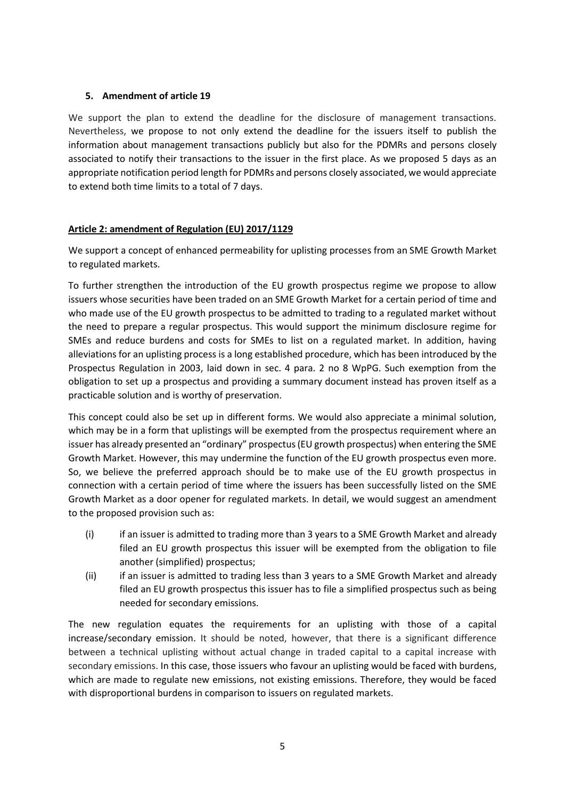#### **5. Amendment of article 19**

We support the plan to extend the deadline for the disclosure of management transactions. Nevertheless, we propose to not only extend the deadline for the issuers itself to publish the information about management transactions publicly but also for the PDMRs and persons closely associated to notify their transactions to the issuer in the first place. As we proposed 5 days as an appropriate notification period length for PDMRs and persons closely associated, we would appreciate to extend both time limits to a total of 7 days.

## **Article 2: amendment of Regulation (EU) 2017/1129**

We support a concept of enhanced permeability for uplisting processes from an SME Growth Market to regulated markets.

To further strengthen the introduction of the EU growth prospectus regime we propose to allow issuers whose securities have been traded on an SME Growth Market for a certain period of time and who made use of the EU growth prospectus to be admitted to trading to a regulated market without the need to prepare a regular prospectus. This would support the minimum disclosure regime for SMEs and reduce burdens and costs for SMEs to list on a regulated market. In addition, having alleviations for an uplisting process is a long established procedure, which has been introduced by the Prospectus Regulation in 2003, laid down in sec. 4 para. 2 no 8 WpPG. Such exemption from the obligation to set up a prospectus and providing a summary document instead has proven itself as a practicable solution and is worthy of preservation.

This concept could also be set up in different forms. We would also appreciate a minimal solution, which may be in a form that uplistings will be exempted from the prospectus requirement where an issuer has already presented an "ordinary" prospectus(EU growth prospectus) when entering the SME Growth Market. However, this may undermine the function of the EU growth prospectus even more. So, we believe the preferred approach should be to make use of the EU growth prospectus in connection with a certain period of time where the issuers has been successfully listed on the SME Growth Market as a door opener for regulated markets. In detail, we would suggest an amendment to the proposed provision such as:

- (i) if an issuer is admitted to trading more than 3 years to a SME Growth Market and already filed an EU growth prospectus this issuer will be exempted from the obligation to file another (simplified) prospectus;
- (ii) if an issuer is admitted to trading less than 3 years to a SME Growth Market and already filed an EU growth prospectus this issuer has to file a simplified prospectus such as being needed for secondary emissions.

The new regulation equates the requirements for an uplisting with those of a capital increase/secondary emission. It should be noted, however, that there is a significant difference between a technical uplisting without actual change in traded capital to a capital increase with secondary emissions. In this case, those issuers who favour an uplisting would be faced with burdens, which are made to regulate new emissions, not existing emissions. Therefore, they would be faced with disproportional burdens in comparison to issuers on regulated markets.